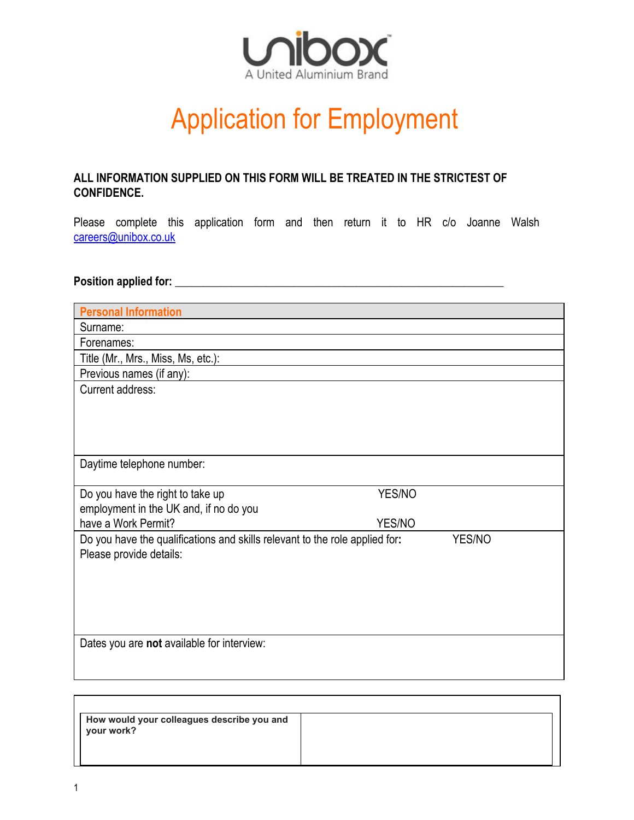

## Application for Employment

## **ALL INFORMATION SUPPLIED ON THIS FORM WILL BE TREATED IN THE STRICTEST OF CONFIDENCE.**

Please complete this application form and then return it to HR c/o Joanne Walsh [careers@unibox.co.uk](mailto:careers@unibox.co.uk)

## **Position applied for: \_\_\_\_\_\_\_\_\_\_\_\_\_\_\_\_\_\_\_\_\_\_\_\_\_\_\_\_\_\_\_\_\_\_\_\_\_\_\_\_\_\_\_\_\_\_\_\_\_\_\_\_\_\_\_\_\_\_**

| <b>Personal Information</b>                                                           |        |  |
|---------------------------------------------------------------------------------------|--------|--|
| Surname:                                                                              |        |  |
| Forenames:                                                                            |        |  |
| Title (Mr., Mrs., Miss, Ms, etc.):                                                    |        |  |
| Previous names (if any):                                                              |        |  |
| Current address:                                                                      |        |  |
|                                                                                       |        |  |
|                                                                                       |        |  |
|                                                                                       |        |  |
|                                                                                       |        |  |
| Daytime telephone number:                                                             |        |  |
|                                                                                       |        |  |
| Do you have the right to take up                                                      | YES/NO |  |
| employment in the UK and, if no do you<br>have a Work Permit?                         | YES/NO |  |
|                                                                                       |        |  |
| Do you have the qualifications and skills relevant to the role applied for:<br>YES/NO |        |  |
| Please provide details:                                                               |        |  |
|                                                                                       |        |  |
|                                                                                       |        |  |
|                                                                                       |        |  |
|                                                                                       |        |  |
| Dates you are not available for interview:                                            |        |  |
|                                                                                       |        |  |
|                                                                                       |        |  |

| How would your colleagues describe you and<br>your work? |  |
|----------------------------------------------------------|--|
|                                                          |  |
|                                                          |  |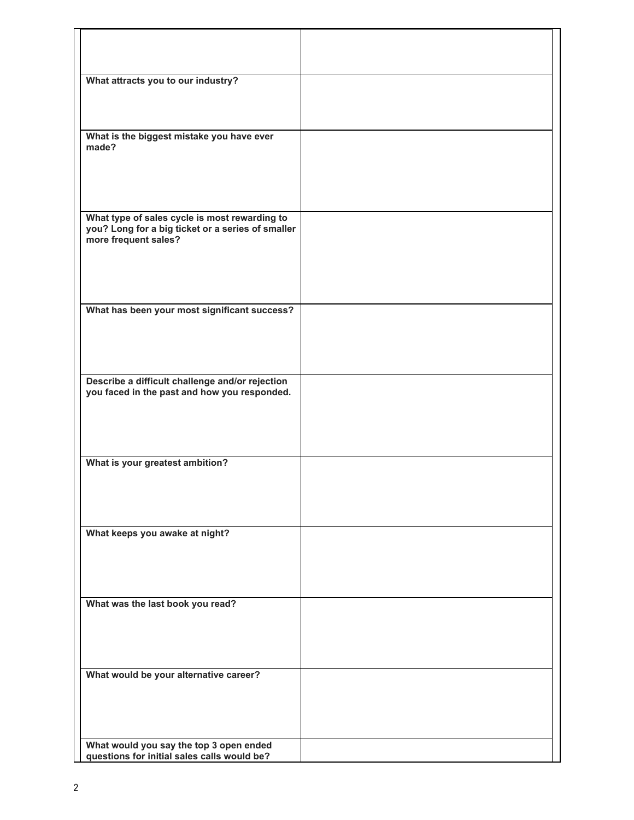| What attracts you to our industry?                                                              |  |
|-------------------------------------------------------------------------------------------------|--|
|                                                                                                 |  |
|                                                                                                 |  |
| What is the biggest mistake you have ever<br>made?                                              |  |
|                                                                                                 |  |
|                                                                                                 |  |
| What type of sales cycle is most rewarding to                                                   |  |
| you? Long for a big ticket or a series of smaller<br>more frequent sales?                       |  |
|                                                                                                 |  |
|                                                                                                 |  |
| What has been your most significant success?                                                    |  |
|                                                                                                 |  |
|                                                                                                 |  |
| Describe a difficult challenge and/or rejection<br>you faced in the past and how you responded. |  |
|                                                                                                 |  |
|                                                                                                 |  |
| What is your greatest ambition?                                                                 |  |
|                                                                                                 |  |
|                                                                                                 |  |
| What keeps you awake at night?                                                                  |  |
|                                                                                                 |  |
|                                                                                                 |  |
| What was the last book you read?                                                                |  |
|                                                                                                 |  |
|                                                                                                 |  |
| What would be your alternative career?                                                          |  |
|                                                                                                 |  |
|                                                                                                 |  |
| What would you say the top 3 open ended<br>questions for initial sales calls would be?          |  |